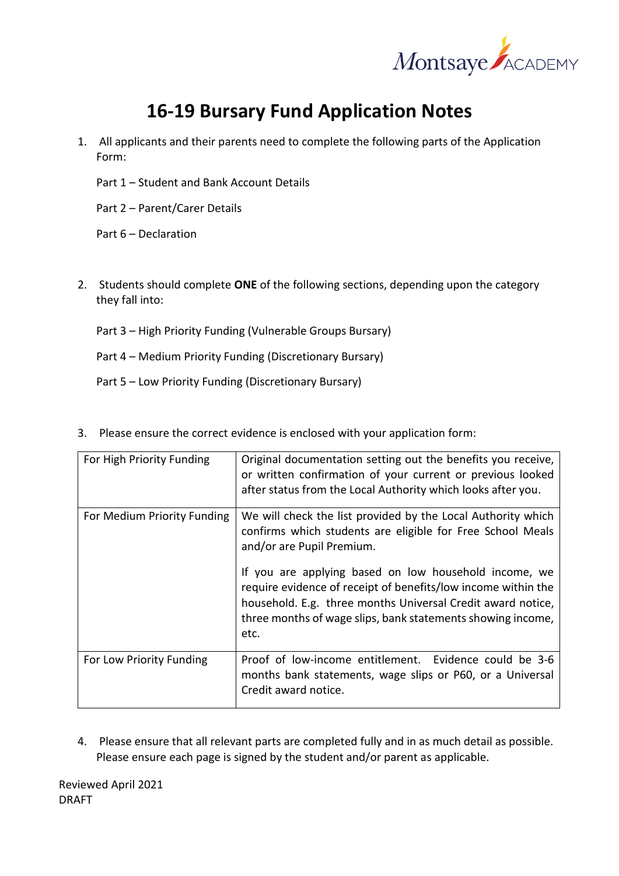

## **16-19 Bursary Fund Application Notes**

- 1. All applicants and their parents need to complete the following parts of the Application Form:
	- Part 1 Student and Bank Account Details
	- Part 2 Parent/Carer Details

Part 6 – Declaration

- 2. Students should complete **ONE** of the following sections, depending upon the category they fall into:
	- Part 3 High Priority Funding (Vulnerable Groups Bursary)
	- Part 4 Medium Priority Funding (Discretionary Bursary)
	- Part 5 Low Priority Funding (Discretionary Bursary)

| For High Priority Funding   | Original documentation setting out the benefits you receive,<br>or written confirmation of your current or previous looked<br>after status from the Local Authority which looks after you.                                                                   |
|-----------------------------|--------------------------------------------------------------------------------------------------------------------------------------------------------------------------------------------------------------------------------------------------------------|
| For Medium Priority Funding | We will check the list provided by the Local Authority which<br>confirms which students are eligible for Free School Meals<br>and/or are Pupil Premium.                                                                                                      |
|                             | If you are applying based on low household income, we<br>require evidence of receipt of benefits/low income within the<br>household. E.g. three months Universal Credit award notice,<br>three months of wage slips, bank statements showing income,<br>etc. |
| For Low Priority Funding    | Proof of low-income entitlement. Evidence could be 3-6<br>months bank statements, wage slips or P60, or a Universal<br>Credit award notice.                                                                                                                  |

3. Please ensure the correct evidence is enclosed with your application form:

4. Please ensure that all relevant parts are completed fully and in as much detail as possible. Please ensure each page is signed by the student and/or parent as applicable.

Reviewed April 2021 DRAFT